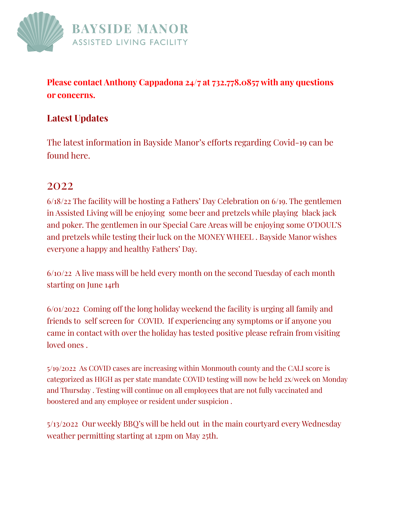

**Please contact Anthony Cappadona 24/7 at 732.778.0857 with any questions or concerns.**

## **Latest Updates**

The latest information in Bayside Manor's efforts regarding Covid-19 can be found here.

## 2022

6/18/22 The facility will be hosting a Fathers' Day Celebration on 6/19. The gentlemen in Assisted Living will be enjoying some beer and pretzels while playing black jack and poker. The gentlemen in our Special Care Areas will be enjoying some O'DOUL'S and pretzels while testing their luck on the MONEY WHEEL . Bayside Manor wishes everyone a happy and healthy Fathers' Day.

6/10/22 A live mass will be held every month on the second Tuesday of each month starting on June 14rh

6/01/2o22 Coming off the long holiday weekend the facility is urging all family and friends to self screen for COVID. If experiencing any symptoms or if anyone you came in contact with over the holiday has tested positive please refrain from visiting loved ones .

5/19/2022 As COVID cases are increasing within Monmouth county and the CALI score is categorized as HIGH as per state mandate COVID testing will now be held 2x/week on Monday and Thursday . Testing will continue on all employees that are not fully vaccinated and boostered and any employee or resident under suspicion .

5/13/2022 Our weekly BBQ's will be held out in the main courtyard every Wednesday weather permitting starting at 12pm on May 25th.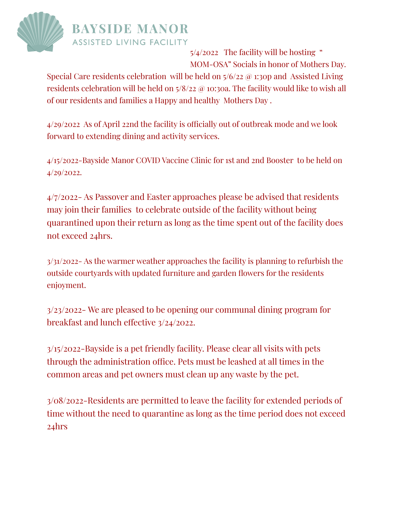

 $5/4/2022$  The facility will be hosting " MOM-OSA" Socials in honor of Mothers Day.

Special Care residents celebration will be held on  $5/6/22$  @ 1:30p and Assisted Living residents celebration will be held on 5/8/22 @ 10:30a. The facility would like to wish all of our residents and families a Happy and healthy Mothers Day .

4/29/2022 As of April 22nd the facility is officially out of outbreak mode and we look forward to extending dining and activity services.

4/15/2022-Bayside Manor COVID Vaccine Clinic for 1st and 2nd Booster to be held on 4/29/2022.

4/7/2022- As Passover and Easter approaches please be advised that residents may join their families to celebrate outside of the facility without being quarantined upon their return as long as the time spent out of the facility does not exceed 24hrs.

3/31/2022- As the warmer weather approaches the facility is planning to refurbish the outside courtyards with updated furniture and garden flowers for the residents enjoyment.

3/23/2022- We are pleased to be opening our communal dining program for breakfast and lunch effective 3/24/2022.

3/15/2022-Bayside is a pet friendly facility. Please clear all visits with pets through the administration office. Pets must be leashed at all times in the common areas and pet owners must clean up any waste by the pet.

3/08/2022-Residents are permitted to leave the facility for extended periods of time without the need to quarantine as long as the time period does not exceed 24hrs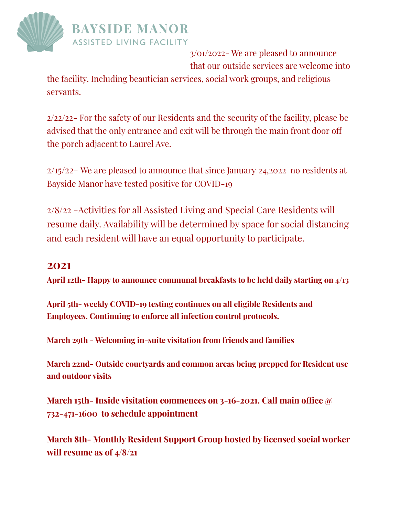

3/01/2022- We are pleased to announce that our outside services are welcome into

the facility. Including beautician services, social work groups, and religious servants.

2/22/22- For the safety of our Residents and the security of the facility, please be advised that the only entrance and exit will be through the main front door off the porch adjacent to Laurel Ave.

2/15/22- We are pleased to announce that since January 24,2022 no residents at Bayside Manor have tested positive for COVID-19

2/8/22 -Activities for all Assisted Living and Special Care Residents will resume daily. Availability will be determined by space for social distancing and each resident will have an equal opportunity to participate.

## **2021**

**April 12th- Happy to announce communal breakfasts to be held daily starting on 4/13**

**April 5th- weekly COVID-19 testing continues on all eligible Residents and Employees. Continuing to enforce all infection control protocols.**

**March 29th - Welcoming in-suite visitation from friends and families**

**March 22nd- Outside courtyards and common areas being prepped for Resident use and outdoor visits**

**March 15th- Inside visitation commences on 3-16-2021. Call main office @ 732-471-1600 to schedule appointment**

**March 8th- Monthly Resident Support Group hosted by licensed social worker will resume as of 4/8/21**